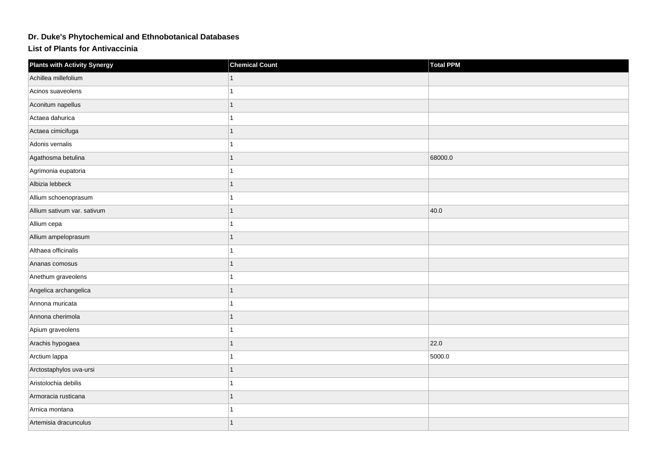## **Dr. Duke's Phytochemical and Ethnobotanical Databases**

**List of Plants for Antivaccinia**

| <b>Plants with Activity Synergy</b> | <b>Chemical Count</b> | <b>Total PPM</b> |
|-------------------------------------|-----------------------|------------------|
| Achillea millefolium                |                       |                  |
| Acinos suaveolens                   |                       |                  |
| Aconitum napellus                   | 1                     |                  |
| Actaea dahurica                     |                       |                  |
| Actaea cimicifuga                   | 1                     |                  |
| Adonis vernalis                     |                       |                  |
| Agathosma betulina                  |                       | 68000.0          |
| Agrimonia eupatoria                 |                       |                  |
| Albizia lebbeck                     |                       |                  |
| Allium schoenoprasum                |                       |                  |
| Allium sativum var. sativum         | 1                     | 40.0             |
| Allium cepa                         |                       |                  |
| Allium ampeloprasum                 |                       |                  |
| Althaea officinalis                 |                       |                  |
| Ananas comosus                      |                       |                  |
| Anethum graveolens                  |                       |                  |
| Angelica archangelica               | 1                     |                  |
| Annona muricata                     |                       |                  |
| Annona cherimola                    |                       |                  |
| Apium graveolens                    |                       |                  |
| Arachis hypogaea                    |                       | 22.0             |
| Arctium lappa                       |                       | 5000.0           |
| Arctostaphylos uva-ursi             |                       |                  |
| Aristolochia debilis                |                       |                  |
| Armoracia rusticana                 |                       |                  |
| Arnica montana                      |                       |                  |
| Artemisia dracunculus               |                       |                  |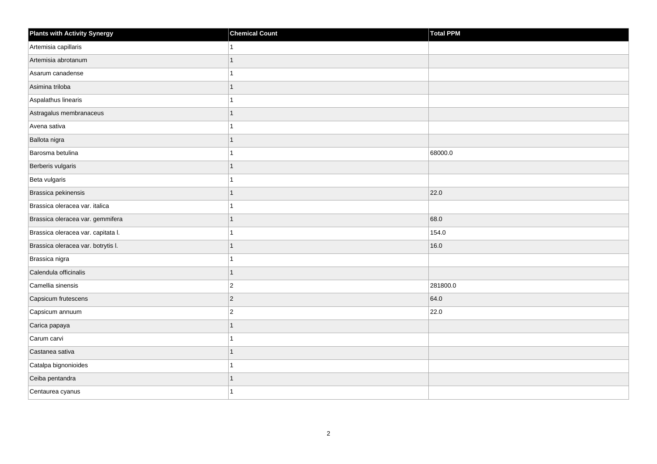| <b>Plants with Activity Synergy</b> | <b>Chemical Count</b> | Total PPM |
|-------------------------------------|-----------------------|-----------|
| Artemisia capillaris                | 1                     |           |
| Artemisia abrotanum                 | 1                     |           |
| Asarum canadense                    | 1                     |           |
| Asimina triloba                     | $\overline{1}$        |           |
| Aspalathus linearis                 | 1                     |           |
| Astragalus membranaceus             | 1                     |           |
| Avena sativa                        | 1                     |           |
| Ballota nigra                       | $\mathbf{1}$          |           |
| Barosma betulina                    | 1                     | 68000.0   |
| Berberis vulgaris                   | $\overline{1}$        |           |
| Beta vulgaris                       | 1                     |           |
| Brassica pekinensis                 | $\mathbf{1}$          | 22.0      |
| Brassica oleracea var. italica      | 1                     |           |
| Brassica oleracea var. gemmifera    | $\mathbf{1}$          | 68.0      |
| Brassica oleracea var. capitata I.  | 1                     | 154.0     |
| Brassica oleracea var. botrytis I.  | 1                     | 16.0      |
| Brassica nigra                      | 1                     |           |
| Calendula officinalis               | $\mathbf{1}$          |           |
| Camellia sinensis                   | $ 2\rangle$           | 281800.0  |
| Capsicum frutescens                 | $ 2\rangle$           | 64.0      |
| Capsicum annuum                     | $\overline{2}$        | 22.0      |
| Carica papaya                       | $\mathbf{1}$          |           |
| Carum carvi                         | 1                     |           |
| Castanea sativa                     | $\mathbf{1}$          |           |
| Catalpa bignonioides                | 1                     |           |
| Ceiba pentandra                     | 1                     |           |
| Centaurea cyanus                    | 1                     |           |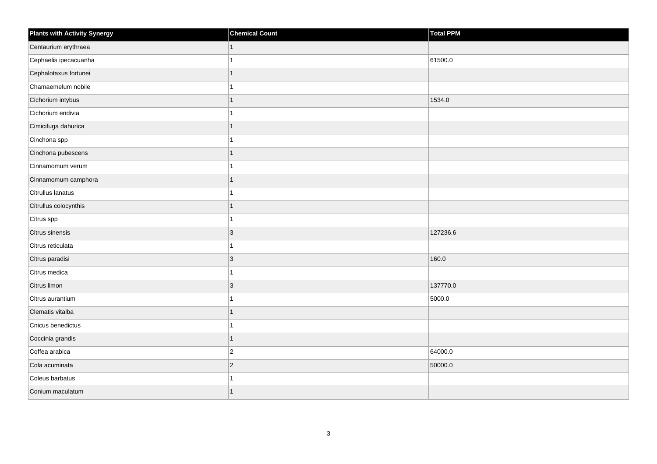| <b>Plants with Activity Synergy</b> | <b>Chemical Count</b> | Total PPM |
|-------------------------------------|-----------------------|-----------|
| Centaurium erythraea                |                       |           |
| Cephaelis ipecacuanha               |                       | 61500.0   |
| Cephalotaxus fortunei               |                       |           |
| Chamaemelum nobile                  |                       |           |
| Cichorium intybus                   |                       | 1534.0    |
| Cichorium endivia                   |                       |           |
| Cimicifuga dahurica                 |                       |           |
| Cinchona spp                        |                       |           |
| Cinchona pubescens                  |                       |           |
| Cinnamomum verum                    |                       |           |
| Cinnamomum camphora                 |                       |           |
| Citrullus lanatus                   |                       |           |
| Citrullus colocynthis               | 1                     |           |
| Citrus spp                          |                       |           |
| Citrus sinensis                     | $\overline{3}$        | 127236.6  |
| Citrus reticulata                   |                       |           |
| Citrus paradisi                     | 3                     | 160.0     |
| Citrus medica                       |                       |           |
| Citrus limon                        | $\overline{3}$        | 137770.0  |
| Citrus aurantium                    |                       | 5000.0    |
| Clematis vitalba                    |                       |           |
| Cnicus benedictus                   |                       |           |
| Coccinia grandis                    | 1                     |           |
| Coffea arabica                      | $\overline{2}$        | 64000.0   |
| Cola acuminata                      | $\overline{2}$        | 50000.0   |
| Coleus barbatus                     |                       |           |
| Conium maculatum                    |                       |           |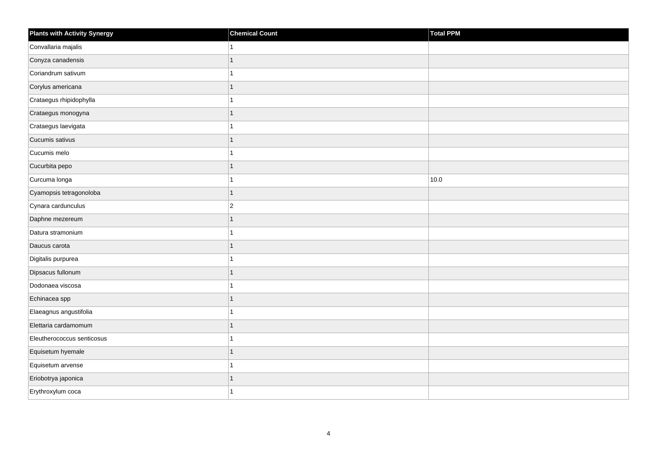| Plants with Activity Synergy | <b>Chemical Count</b> | Total PPM |
|------------------------------|-----------------------|-----------|
| Convallaria majalis          |                       |           |
| Conyza canadensis            | 1                     |           |
| Coriandrum sativum           |                       |           |
| Corylus americana            | 1                     |           |
| Crataegus rhipidophylla      |                       |           |
| Crataegus monogyna           | 1                     |           |
| Crataegus laevigata          | 4                     |           |
| Cucumis sativus              | 1                     |           |
| Cucumis melo                 |                       |           |
| Cucurbita pepo               | $\overline{1}$        |           |
| Curcuma longa                |                       | 10.0      |
| Cyamopsis tetragonoloba      | 1                     |           |
| Cynara cardunculus           | $\overline{c}$        |           |
| Daphne mezereum              | 1                     |           |
| Datura stramonium            |                       |           |
| Daucus carota                | $\overline{1}$        |           |
| Digitalis purpurea           |                       |           |
| Dipsacus fullonum            |                       |           |
| Dodonaea viscosa             | 1                     |           |
| Echinacea spp                | 1                     |           |
| Elaeagnus angustifolia       |                       |           |
| Elettaria cardamomum         | 1                     |           |
| Eleutherococcus senticosus   |                       |           |
| Equisetum hyemale            | 1                     |           |
| Equisetum arvense            | 1                     |           |
| Eriobotrya japonica          | 1                     |           |
| Erythroxylum coca            |                       |           |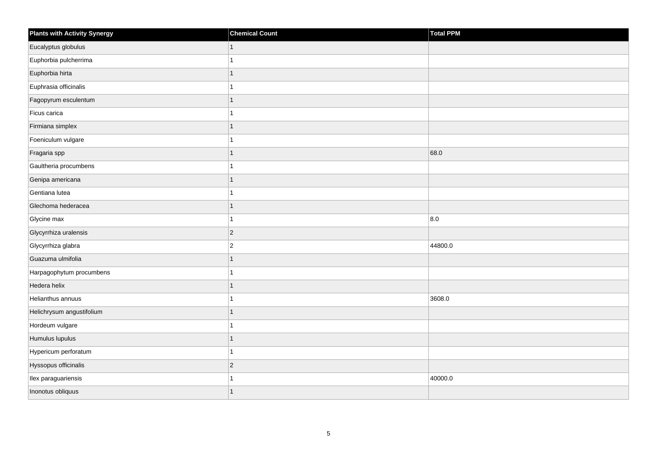| <b>Plants with Activity Synergy</b> | <b>Chemical Count</b> | Total PPM |
|-------------------------------------|-----------------------|-----------|
| Eucalyptus globulus                 | $\mathbf{1}$          |           |
| Euphorbia pulcherrima               |                       |           |
| Euphorbia hirta                     | 1                     |           |
| Euphrasia officinalis               | 1                     |           |
| Fagopyrum esculentum                | 1                     |           |
| Ficus carica                        | 1                     |           |
| Firmiana simplex                    | 1                     |           |
| Foeniculum vulgare                  | 1                     |           |
| Fragaria spp                        | 1                     | 68.0      |
| Gaultheria procumbens               | 1                     |           |
| Genipa americana                    | 1                     |           |
| Gentiana lutea                      | 1                     |           |
| Glechoma hederacea                  | 1                     |           |
| Glycine max                         | 1                     | 8.0       |
| Glycyrrhiza uralensis               | $\vert$ 2             |           |
| Glycyrrhiza glabra                  | $\vert$ 2             | 44800.0   |
| Guazuma ulmifolia                   | 1                     |           |
| Harpagophytum procumbens            | 1                     |           |
| Hedera helix                        | 1                     |           |
| Helianthus annuus                   | 1                     | 3608.0    |
| Helichrysum angustifolium           | 1                     |           |
| Hordeum vulgare                     | 1                     |           |
| Humulus lupulus                     | 1                     |           |
| Hypericum perforatum                | 1                     |           |
| Hyssopus officinalis                | $ 2\rangle$           |           |
| Ilex paraguariensis                 | 1                     | 40000.0   |
| Inonotus obliquus                   | 1                     |           |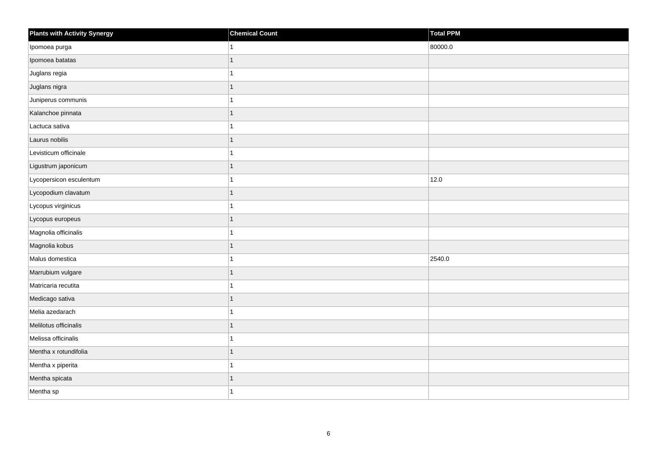| Plants with Activity Synergy | <b>Chemical Count</b> | <b>Total PPM</b> |
|------------------------------|-----------------------|------------------|
| Ipomoea purga                |                       | 80000.0          |
| Ipomoea batatas              |                       |                  |
| Juglans regia                |                       |                  |
| Juglans nigra                |                       |                  |
| Juniperus communis           |                       |                  |
| Kalanchoe pinnata            |                       |                  |
| Lactuca sativa               |                       |                  |
| Laurus nobilis               | 1                     |                  |
| Levisticum officinale        |                       |                  |
| Ligustrum japonicum          |                       |                  |
| Lycopersicon esculentum      |                       | 12.0             |
| Lycopodium clavatum          |                       |                  |
| Lycopus virginicus           |                       |                  |
| Lycopus europeus             |                       |                  |
| Magnolia officinalis         |                       |                  |
| Magnolia kobus               |                       |                  |
| Malus domestica              |                       | 2540.0           |
| Marrubium vulgare            |                       |                  |
| Matricaria recutita          |                       |                  |
| Medicago sativa              |                       |                  |
| Melia azedarach              |                       |                  |
| Melilotus officinalis        |                       |                  |
| Melissa officinalis          |                       |                  |
| Mentha x rotundifolia        |                       |                  |
| Mentha x piperita            |                       |                  |
| Mentha spicata               |                       |                  |
| Mentha sp                    |                       |                  |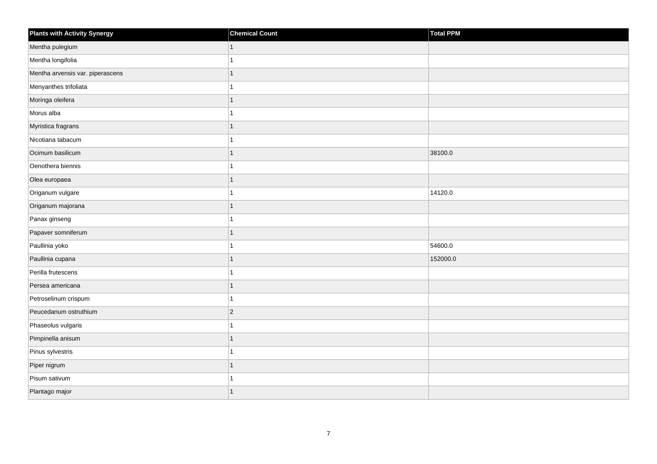| <b>Plants with Activity Synergy</b> | <b>Chemical Count</b> | Total PPM |
|-------------------------------------|-----------------------|-----------|
| Mentha pulegium                     | 1                     |           |
| Mentha longifolia                   |                       |           |
| Mentha arvensis var. piperascens    |                       |           |
| Menyanthes trifoliata               |                       |           |
| Moringa oleifera                    | 1                     |           |
| Morus alba                          |                       |           |
| Myristica fragrans                  | 1                     |           |
| Nicotiana tabacum                   |                       |           |
| Ocimum basilicum                    |                       | 38100.0   |
| Oenothera biennis                   |                       |           |
| Olea europaea                       | 1                     |           |
| Origanum vulgare                    |                       | 14120.0   |
| Origanum majorana                   | 1                     |           |
| Panax ginseng                       |                       |           |
| Papaver somniferum                  |                       |           |
| Paullinia yoko                      |                       | 54600.0   |
| Paullinia cupana                    |                       | 152000.0  |
| Perilla frutescens                  |                       |           |
| Persea americana                    | 1                     |           |
| Petroselinum crispum                |                       |           |
| Peucedanum ostruthium               | $\overline{2}$        |           |
| Phaseolus vulgaris                  | 1                     |           |
| Pimpinella anisum                   |                       |           |
| Pinus sylvestris                    |                       |           |
| Piper nigrum                        | $\overline{1}$        |           |
| Pisum sativum                       |                       |           |
| Plantago major                      |                       |           |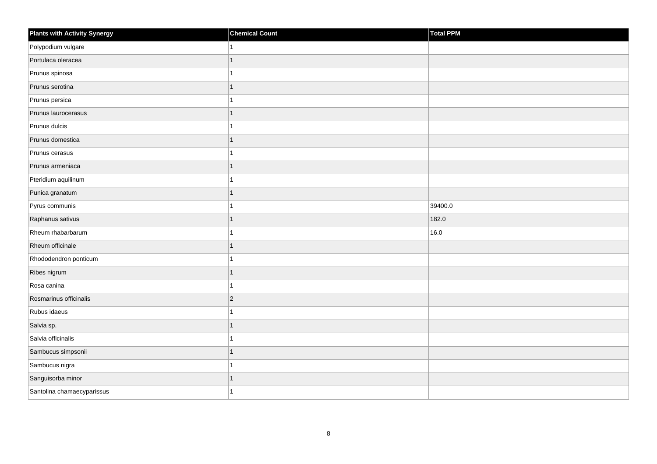| <b>Plants with Activity Synergy</b> | <b>Chemical Count</b> | Total PPM |
|-------------------------------------|-----------------------|-----------|
| Polypodium vulgare                  |                       |           |
| Portulaca oleracea                  | 1                     |           |
| Prunus spinosa                      |                       |           |
| Prunus serotina                     | 1                     |           |
| Prunus persica                      |                       |           |
| Prunus laurocerasus                 |                       |           |
| Prunus dulcis                       |                       |           |
| Prunus domestica                    | 1                     |           |
| Prunus cerasus                      |                       |           |
| Prunus armeniaca                    | 1                     |           |
| Pteridium aquilinum                 |                       |           |
| Punica granatum                     |                       |           |
| Pyrus communis                      |                       | 39400.0   |
| Raphanus sativus                    | 1                     | 182.0     |
| Rheum rhabarbarum                   |                       | 16.0      |
| Rheum officinale                    | 1                     |           |
| Rhododendron ponticum               |                       |           |
| Ribes nigrum                        |                       |           |
| Rosa canina                         | 1                     |           |
| Rosmarinus officinalis              | $\overline{2}$        |           |
| Rubus idaeus                        |                       |           |
| Salvia sp.                          | 1                     |           |
| Salvia officinalis                  |                       |           |
| Sambucus simpsonii                  |                       |           |
| Sambucus nigra                      | 1                     |           |
| Sanguisorba minor                   |                       |           |
| Santolina chamaecyparissus          |                       |           |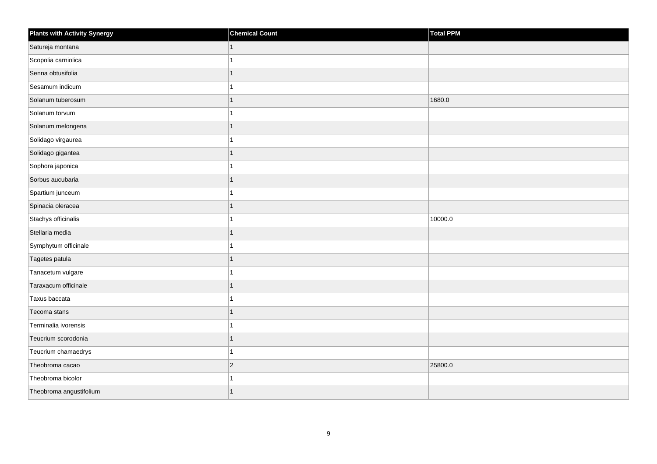| <b>Plants with Activity Synergy</b> | <b>Chemical Count</b> | Total PPM |
|-------------------------------------|-----------------------|-----------|
| Satureja montana                    |                       |           |
| Scopolia carniolica                 |                       |           |
| Senna obtusifolia                   |                       |           |
| Sesamum indicum                     |                       |           |
| Solanum tuberosum                   | 1                     | 1680.0    |
| Solanum torvum                      |                       |           |
| Solanum melongena                   |                       |           |
| Solidago virgaurea                  |                       |           |
| Solidago gigantea                   |                       |           |
| Sophora japonica                    |                       |           |
| Sorbus aucubaria                    | 1                     |           |
| Spartium junceum                    |                       |           |
| Spinacia oleracea                   | 1                     |           |
| Stachys officinalis                 |                       | 10000.0   |
| Stellaria media                     |                       |           |
| Symphytum officinale                |                       |           |
| Tagetes patula                      |                       |           |
| Tanacetum vulgare                   |                       |           |
| Taraxacum officinale                | 1                     |           |
| Taxus baccata                       |                       |           |
| Tecoma stans                        |                       |           |
| Terminalia ivorensis                |                       |           |
| Teucrium scorodonia                 |                       |           |
| Teucrium chamaedrys                 |                       |           |
| Theobroma cacao                     | $\overline{2}$        | 25800.0   |
| Theobroma bicolor                   |                       |           |
| Theobroma angustifolium             |                       |           |